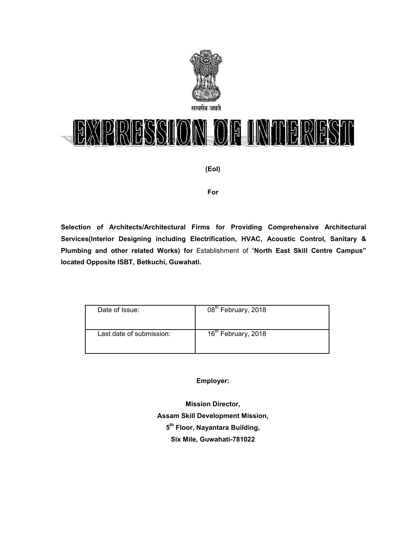

# IRIESSION OF INTERES  $\mathbb{R}$

**(EoI)** 

#### **For**

**Selection of Architects/Architectural Firms for Providing Comprehensive Architectural Services(Interior Designing including Electrification, HVAC, Acoustic Control, Sanitary & Plumbing and other related Works) for** Establishment of "**North East Skill Centre Campus" located Opposite ISBT, Betkuchi, Guwahati.**

| Date of Issue:           | 08 <sup>th</sup> February, 2018 |
|--------------------------|---------------------------------|
| Last date of submission: | 16 <sup>th</sup> February, 2018 |

**Employer:** 

**Mission Director, Assam Skill Development Mission, 5 th Floor, Nayantara Building, Six Mile, Guwahati-781022**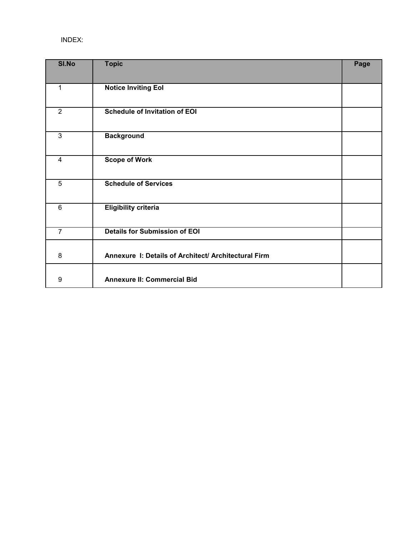## INDEX:

| <b>SI.No</b>   | <b>Topic</b>                                         | Page |
|----------------|------------------------------------------------------|------|
| 1              | <b>Notice Inviting Eol</b>                           |      |
| $\overline{2}$ | <b>Schedule of Invitation of EOI</b>                 |      |
| 3              | <b>Background</b>                                    |      |
| 4              | <b>Scope of Work</b>                                 |      |
| $\overline{5}$ | <b>Schedule of Services</b>                          |      |
| 6              | <b>Eligibility criteria</b>                          |      |
| $\overline{7}$ | <b>Details for Submission of EOI</b>                 |      |
| 8              | Annexure I: Details of Architect/ Architectural Firm |      |
| 9              | <b>Annexure II: Commercial Bid</b>                   |      |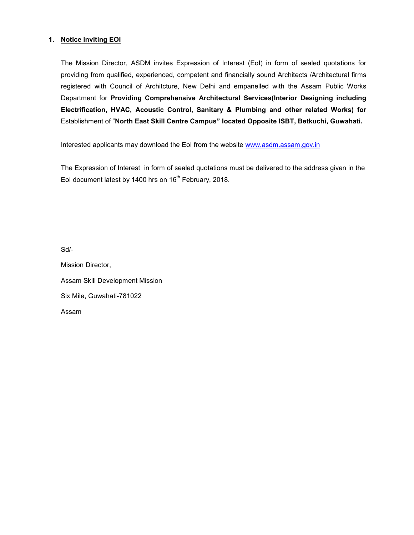#### **1. Notice inviting EOI**

The Mission Director, ASDM invites Expression of Interest (EoI) in form of sealed quotations for providing from qualified, experienced, competent and financially sound Architects /Architectural firms registered with Council of Architcture, New Delhi and empanelled with the Assam Public Works Department for **Providing Comprehensive Architectural Services(Interior Designing including Electrification, HVAC, Acoustic Control, Sanitary & Plumbing and other related Works) for**  Establishment of "**North East Skill Centre Campus" located Opposite ISBT, Betkuchi, Guwahati.**

Interested applicants may download the EoI from the website www.asdm.assam.gov.in

The Expression of Interest in form of sealed quotations must be delivered to the address given in the EoI document latest by 1400 hrs on 16<sup>th</sup> February, 2018.

Sd/-

Mission Director, Assam Skill Development Mission Six Mile, Guwahati-781022 Assam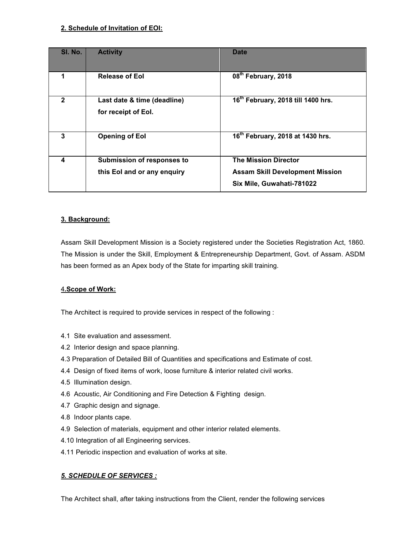## **2. Schedule of Invitation of EOI:**

| SI. No. | <b>Activity</b>                                                  | <b>Date</b>                                                                                        |
|---------|------------------------------------------------------------------|----------------------------------------------------------------------------------------------------|
| 1       | <b>Release of Eol</b>                                            | 08 <sup>th</sup> February, 2018                                                                    |
| 2       | Last date & time (deadline)<br>for receipt of Eol.               | 16 <sup>th</sup> February, 2018 till 1400 hrs.                                                     |
| 3       | <b>Opening of Eol</b>                                            | 16 <sup>th</sup> February, 2018 at 1430 hrs.                                                       |
| 4       | <b>Submission of responses to</b><br>this Eol and or any enquiry | <b>The Mission Director</b><br><b>Assam Skill Development Mission</b><br>Six Mile, Guwahati-781022 |

## **3. Background:**

Assam Skill Development Mission is a Society registered under the Societies Registration Act, 1860. The Mission is under the Skill, Employment & Entrepreneurship Department, Govt. of Assam. ASDM has been formed as an Apex body of the State for imparting skill training.

#### 4**.Scope of Work:**

The Architect is required to provide services in respect of the following :

- 4.1 Site evaluation and assessment.
- 4.2 Interior design and space planning.
- 4.3 Preparation of Detailed Bill of Quantities and specifications and Estimate of cost.
- 4.4 Design of fixed items of work, loose furniture & interior related civil works.
- 4.5 Illumination design.
- 4.6 Acoustic, Air Conditioning and Fire Detection & Fighting design.
- 4.7 Graphic design and signage.
- 4.8 Indoor plants cape.
- 4.9 Selection of materials, equipment and other interior related elements.
- 4.10 Integration of all Engineering services.
- 4.11 Periodic inspection and evaluation of works at site.

## *5. SCHEDULE OF SERVICES :*

The Architect shall, after taking instructions from the Client, render the following services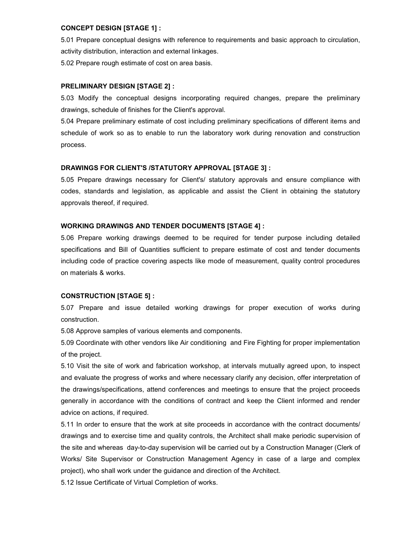#### **CONCEPT DESIGN [STAGE 1] :**

5.01 Prepare conceptual designs with reference to requirements and basic approach to circulation, activity distribution, interaction and external linkages.

5.02 Prepare rough estimate of cost on area basis.

#### **PRELIMINARY DESIGN [STAGE 2] :**

5.03 Modify the conceptual designs incorporating required changes, prepare the preliminary drawings, schedule of finishes for the Client's approval.

5.04 Prepare preliminary estimate of cost including preliminary specifications of different items and schedule of work so as to enable to run the laboratory work during renovation and construction process.

#### **DRAWINGS FOR CLIENT'S /STATUTORY APPROVAL [STAGE 3] :**

5.05 Prepare drawings necessary for Client's/ statutory approvals and ensure compliance with codes, standards and legislation, as applicable and assist the Client in obtaining the statutory approvals thereof, if required.

#### **WORKING DRAWINGS AND TENDER DOCUMENTS [STAGE 4] :**

5.06 Prepare working drawings deemed to be required for tender purpose including detailed specifications and Bill of Quantities sufficient to prepare estimate of cost and tender documents including code of practice covering aspects like mode of measurement, quality control procedures on materials & works.

#### **CONSTRUCTION [STAGE 5] :**

5.07 Prepare and issue detailed working drawings for proper execution of works during construction.

5.08 Approve samples of various elements and components.

5.09 Coordinate with other vendors like Air conditioning and Fire Fighting for proper implementation of the project.

5.10 Visit the site of work and fabrication workshop, at intervals mutually agreed upon, to inspect and evaluate the progress of works and where necessary clarify any decision, offer interpretation of the drawings/specifications, attend conferences and meetings to ensure that the project proceeds generally in accordance with the conditions of contract and keep the Client informed and render advice on actions, if required.

5.11 In order to ensure that the work at site proceeds in accordance with the contract documents/ drawings and to exercise time and quality controls, the Architect shall make periodic supervision of the site and whereas day-to-day supervision will be carried out by a Construction Manager (Clerk of Works/ Site Supervisor or Construction Management Agency in case of a large and complex project), who shall work under the guidance and direction of the Architect.

5.12 Issue Certificate of Virtual Completion of works.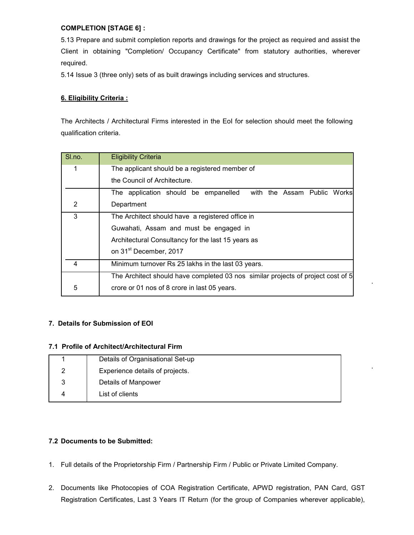#### **COMPLETION [STAGE 6] :**

5.13 Prepare and submit completion reports and drawings for the project as required and assist the Client in obtaining "Completion/ Occupancy Certificate" from statutory authorities, wherever required.

5.14 Issue 3 (three only) sets of as built drawings including services and structures.

## **6. Eligibility Criteria :**

The Architects / Architectural Firms interested in the EoI for selection should meet the following qualification criteria.

| SI.no. | <b>Eligibility Criteria</b>                                                      |  |  |
|--------|----------------------------------------------------------------------------------|--|--|
| 1      | The applicant should be a registered member of                                   |  |  |
|        | the Council of Architecture.                                                     |  |  |
|        | The application should be empanelled<br>with the Assam Public Works              |  |  |
| 2      | Department                                                                       |  |  |
| 3      | The Architect should have a registered office in                                 |  |  |
|        | Guwahati, Assam and must be engaged in                                           |  |  |
|        | Architectural Consultancy for the last 15 years as                               |  |  |
|        | on 31 <sup>st</sup> December, 2017                                               |  |  |
| 4      | Minimum turnover Rs 25 lakhs in the last 03 years.                               |  |  |
|        | The Architect should have completed 03 nos similar projects of project cost of 5 |  |  |
| 5      | crore or 01 nos of 8 crore in last 05 years.                                     |  |  |

#### **7. Details for Submission of EOI**

#### **7.1 Profile of Architect/Architectural Firm**

|   | Details of Organisational Set-up |
|---|----------------------------------|
|   | Experience details of projects.  |
| 3 | Details of Manpower              |
| Δ | List of clients                  |

#### **7.2 Documents to be Submitted:**

- 1. Full details of the Proprietorship Firm / Partnership Firm / Public or Private Limited Company.
- 2. Documents like Photocopies of COA Registration Certificate, APWD registration, PAN Card, GST Registration Certificates, Last 3 Years IT Return (for the group of Companies wherever applicable),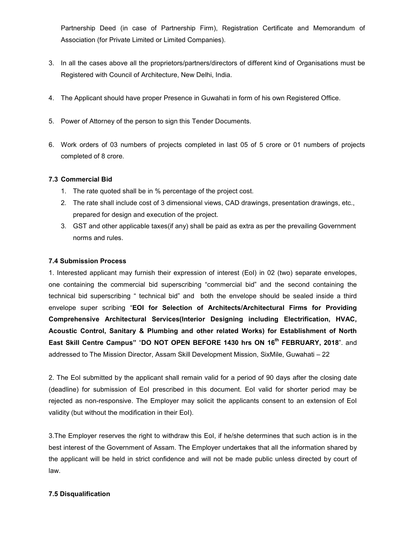Partnership Deed (in case of Partnership Firm), Registration Certificate and Memorandum of Association (for Private Limited or Limited Companies).

- 3. In all the cases above all the proprietors/partners/directors of different kind of Organisations must be Registered with Council of Architecture, New Delhi, India.
- 4. The Applicant should have proper Presence in Guwahati in form of his own Registered Office.
- 5. Power of Attorney of the person to sign this Tender Documents.
- 6. Work orders of 03 numbers of projects completed in last 05 of 5 crore or 01 numbers of projects completed of 8 crore.

#### **7.3 Commercial Bid**

- 1. The rate quoted shall be in % percentage of the project cost.
- 2. The rate shall include cost of 3 dimensional views, CAD drawings, presentation drawings, etc., prepared for design and execution of the project.
- 3. GST and other applicable taxes(if any) shall be paid as extra as per the prevailing Government norms and rules.

#### **7.4 Submission Process**

1. Interested applicant may furnish their expression of interest (EoI) in 02 (two) separate envelopes, one containing the commercial bid superscribing "commercial bid" and the second containing the technical bid superscribing " technical bid" and both the envelope should be sealed inside a third envelope super scribing "**EOI for Selection of Architects/Architectural Firms for Providing Comprehensive Architectural Services(Interior Designing including Electrification, HVAC, Acoustic Control, Sanitary & Plumbing and other related Works) for Establishment of North East Skill Centre Campus"** "**DO NOT OPEN BEFORE 1430 hrs ON 16th FEBRUARY, 2018**". and addressed to The Mission Director, Assam Skill Development Mission, SixMile, Guwahati – 22

2. The EoI submitted by the applicant shall remain valid for a period of 90 days after the closing date (deadline) for submission of EoI prescribed in this document. EoI valid for shorter period may be rejected as non-responsive. The Employer may solicit the applicants consent to an extension of EoI validity (but without the modification in their EoI).

3.The Employer reserves the right to withdraw this EoI, if he/she determines that such action is in the best interest of the Government of Assam. The Employer undertakes that all the information shared by the applicant will be held in strict confidence and will not be made public unless directed by court of law.

#### **7.5 Disqualification**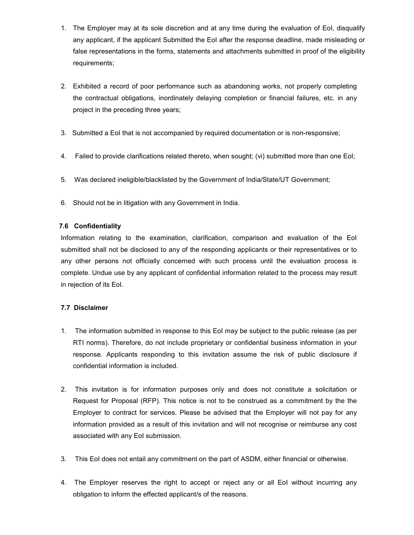- 1. The Employer may at its sole discretion and at any time during the evaluation of EoI, disqualify any applicant, if the applicant Submitted the EoI after the response deadline, made misleading or false representations in the forms, statements and attachments submitted in proof of the eligibility requirements;
- 2. Exhibited a record of poor performance such as abandoning works, not properly completing the contractual obligations, inordinately delaying completion or financial failures, etc. in any project in the preceding three years;
- 3. Submitted a EoI that is not accompanied by required documentation or is non-responsive;
- 4. Failed to provide clarifications related thereto, when sought; (vi) submitted more than one EoI;
- 5. Was declared ineligible/blacklisted by the Government of India/State/UT Government;
- 6. Should not be in litigation with any Government in India.

#### **7.6 Confidentiality**

Information relating to the examination, clarification, comparison and evaluation of the EoI submitted shall not be disclosed to any of the responding applicants or their representatives or to any other persons not officially concerned with such process until the evaluation process is complete. Undue use by any applicant of confidential information related to the process may result in rejection of its EoI.

#### **7.7 Disclaimer**

- 1. The information submitted in response to this EoI may be subject to the public release (as per RTI norms). Therefore, do not include proprietary or confidential business information in your response. Applicants responding to this invitation assume the risk of public disclosure if confidential information is included.
- 2. This invitation is for information purposes only and does not constitute a solicitation or Request for Proposal (RFP). This notice is not to be construed as a commitment by the the Employer to contract for services. Please be advised that the Employer will not pay for any information provided as a result of this invitation and will not recognise or reimburse any cost associated with any EoI submission.
- 3. This EoI does not entail any commitment on the part of ASDM, either financial or otherwise.
- 4. The Employer reserves the right to accept or reject any or all EoI without incurring any obligation to inform the effected applicant/s of the reasons.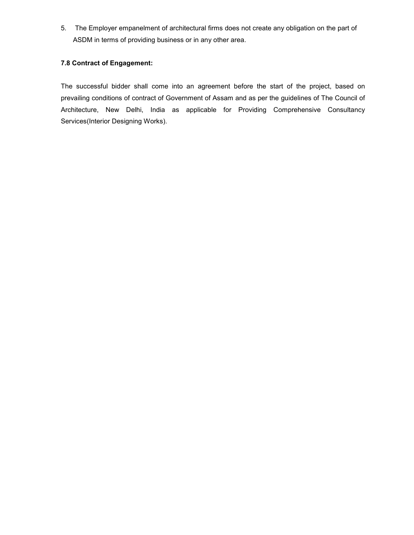5. The Employer empanelment of architectural firms does not create any obligation on the part of ASDM in terms of providing business or in any other area.

## **7.8 Contract of Engagement:**

The successful bidder shall come into an agreement before the start of the project, based on prevailing conditions of contract of Government of Assam and as per the guidelines of The Council of Architecture, New Delhi, India as applicable for Providing Comprehensive Consultancy Services(Interior Designing Works).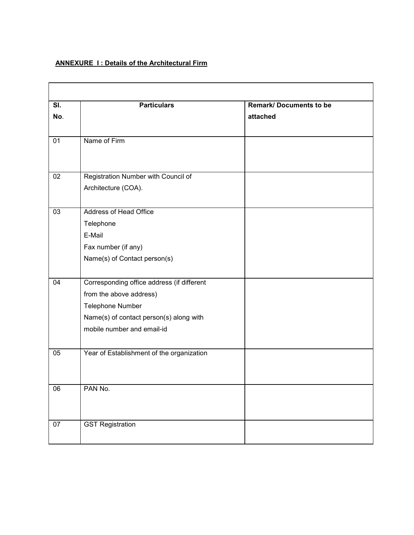## **ANNEXURE 1: Details of the Architectural Firm**

| $\overline{\mathsf{SI}}$ . | <b>Particulars</b>                                                                                                                                                 | <b>Remark/Documents to be</b> |
|----------------------------|--------------------------------------------------------------------------------------------------------------------------------------------------------------------|-------------------------------|
| No.                        |                                                                                                                                                                    | attached                      |
| 01                         | Name of Firm                                                                                                                                                       |                               |
| 02                         | Registration Number with Council of                                                                                                                                |                               |
|                            | Architecture (COA).                                                                                                                                                |                               |
| 03                         | Address of Head Office<br>Telephone<br>E-Mail<br>Fax number (if any)<br>Name(s) of Contact person(s)                                                               |                               |
| 04                         | Corresponding office address (if different<br>from the above address)<br>Telephone Number<br>Name(s) of contact person(s) along with<br>mobile number and email-id |                               |
| 05                         | Year of Establishment of the organization                                                                                                                          |                               |
| 06                         | PAN No.                                                                                                                                                            |                               |
| 07                         | <b>GST Registration</b>                                                                                                                                            |                               |